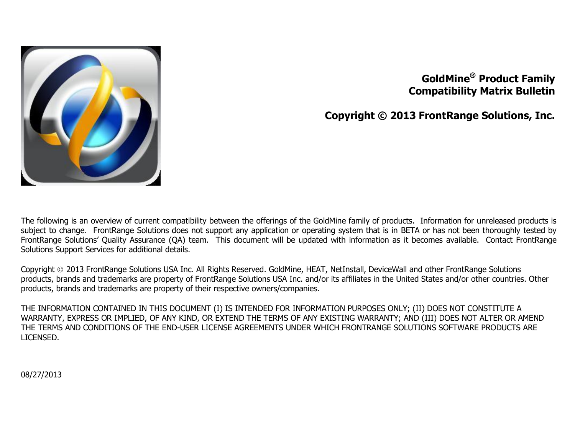

### **GoldMine ® Product Family Compatibility Matrix Bulletin**

**Copyright © 2013 FrontRange Solutions, Inc.**

The following is an overview of current compatibility between the offerings of the GoldMine family of products. Information for unreleased products is subject to change. FrontRange Solutions does not support any application or operating system that is in BETA or has not been thoroughly tested by FrontRange Solutions' Quality Assurance (QA) team. This document will be updated with information as it becomes available. Contact FrontRange Solutions Support Services for additional details.

Copyright 2013 FrontRange Solutions USA Inc. All Rights Reserved. GoldMine, HEAT, NetInstall, DeviceWall and other FrontRange Solutions products, brands and trademarks are property of FrontRange Solutions USA Inc. and/or its affiliates in the United States and/or other countries. Other products, brands and trademarks are property of their respective owners/companies.

THE INFORMATION CONTAINED IN THIS DOCUMENT (I) IS INTENDED FOR INFORMATION PURPOSES ONLY; (II) DOES NOT CONSTITUTE A WARRANTY, EXPRESS OR IMPLIED, OF ANY KIND, OR EXTEND THE TERMS OF ANY EXISTING WARRANTY; AND (III) DOES NOT ALTER OR AMEND THE TERMS AND CONDITIONS OF THE END-USER LICENSE AGREEMENTS UNDER WHICH FRONTRANGE SOLUTIONS SOFTWARE PRODUCTS ARE LICENSED.

08/27/2013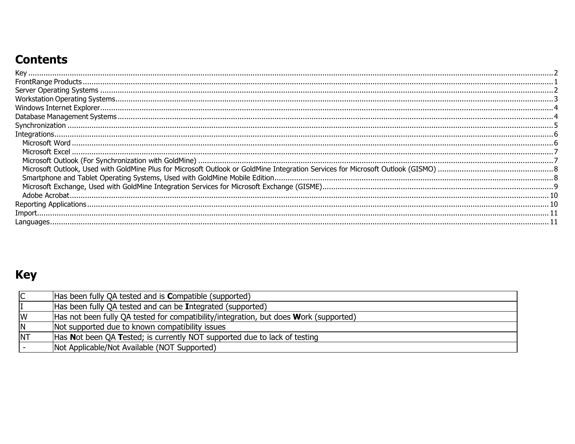# **Contents**

| <u>opter on decision and construction and construction of the construction of the construction of the construction of the construction of the construction of the construction of the construction of the construction of the co</u> |  |
|--------------------------------------------------------------------------------------------------------------------------------------------------------------------------------------------------------------------------------------|--|
|                                                                                                                                                                                                                                      |  |
|                                                                                                                                                                                                                                      |  |
|                                                                                                                                                                                                                                      |  |
|                                                                                                                                                                                                                                      |  |
|                                                                                                                                                                                                                                      |  |
|                                                                                                                                                                                                                                      |  |
|                                                                                                                                                                                                                                      |  |
|                                                                                                                                                                                                                                      |  |
|                                                                                                                                                                                                                                      |  |
|                                                                                                                                                                                                                                      |  |

# <span id="page-1-0"></span>**Key**

| $\overline{\mathsf{C}}$ | Has been fully QA tested and is <b>Compatible</b> (supported)                         |
|-------------------------|---------------------------------------------------------------------------------------|
|                         | Has been fully QA tested and can be Integrated (supported)                            |
| W                       | Has not been fully QA tested for compatibility/integration, but does Work (supported) |
| N                       | Not supported due to known compatibility issues                                       |
| <b>NT</b>               | Has Not been QA Tested; is currently NOT supported due to lack of testing             |
|                         | Not Applicable/Not Available (NOT Supported)                                          |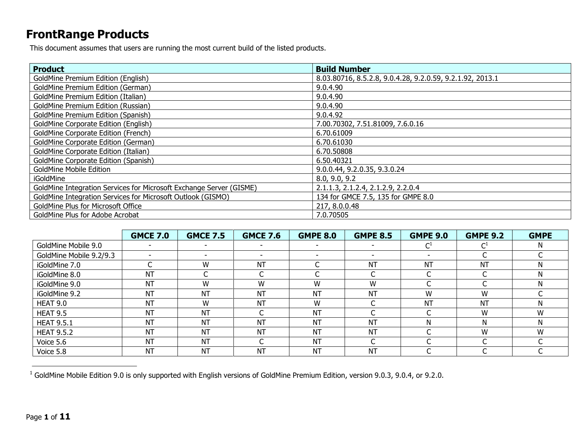## <span id="page-2-0"></span>**FrontRange Products**

This document assumes that users are running the most current build of the listed products.

| <b>Product</b>                                                      | <b>Build Number</b>                                       |
|---------------------------------------------------------------------|-----------------------------------------------------------|
| <b>GoldMine Premium Edition (English)</b>                           | 8.03.80716, 8.5.2.8, 9.0.4.28, 9.2.0.59, 9.2.1.92, 2013.1 |
| GoldMine Premium Edition (German)                                   | 9.0.4.90                                                  |
| GoldMine Premium Edition (Italian)                                  | 9.0.4.90                                                  |
| GoldMine Premium Edition (Russian)                                  | 9.0.4.90                                                  |
| GoldMine Premium Edition (Spanish)                                  | 9.0.4.92                                                  |
| <b>GoldMine Corporate Edition (English)</b>                         | 7.00.70302, 7.51.81009, 7.6.0.16                          |
| GoldMine Corporate Edition (French)                                 | 6.70.61009                                                |
| GoldMine Corporate Edition (German)                                 | 6.70.61030                                                |
| GoldMine Corporate Edition (Italian)                                | 6.70.50808                                                |
| GoldMine Corporate Edition (Spanish)                                | 6.50.40321                                                |
| <b>GoldMine Mobile Edition</b>                                      | 9.0.0.44, 9.2.0.35, 9.3.0.24                              |
| <i>iGoldMine</i>                                                    | 8.0, 9.0, 9.2                                             |
| GoldMine Integration Services for Microsoft Exchange Server (GISME) | 2.1.1.3, 2.1.2.4, 2.1.2.9, 2.2.0.4                        |
| GoldMine Integration Services for Microsoft Outlook (GISMO)         | 134 for GMCE 7.5, 135 for GMPE 8.0                        |
| GoldMine Plus for Microsoft Office                                  | 217, 8.0.0.48                                             |
| GoldMine Plus for Adobe Acrobat                                     | 7.0.70505                                                 |

|                         | <b>GMCE 7.0</b> | <b>GMCE 7.5</b> | <b>GMCE 7.6</b> | <b>GMPE 8.0</b> | <b>GMPE 8.5</b>          | <b>GMPE 9.0</b> | <b>GMPE 9.2</b> | <b>GMPE</b> |
|-------------------------|-----------------|-----------------|-----------------|-----------------|--------------------------|-----------------|-----------------|-------------|
| GoldMine Mobile 9.0     |                 |                 |                 |                 |                          |                 |                 |             |
| GoldMine Mobile 9.2/9.3 | $\sim$          |                 |                 |                 | $\overline{\phantom{0}}$ |                 |                 |             |
| iGoldMine 7.0           |                 | W               | <b>NT</b>       |                 | <b>NT</b>                | <b>NT</b>       | <b>NT</b>       |             |
| iGoldMine 8.0           | <b>NT</b>       |                 |                 |                 |                          |                 |                 |             |
| iGoldMine 9.0           | <b>NT</b>       | W               | W               | W               | W                        |                 |                 |             |
| iGoldMine 9.2           | <b>NT</b>       | NT              | <b>NT</b>       | <b>NT</b>       | <b>NT</b>                | W               | W               |             |
| HEAT 9.0                | NT              | W               | <b>NT</b>       | W               | ∽                        | <b>NT</b>       | <b>NT</b>       |             |
| HEAT 9.5                | NT              | NT              |                 | <b>NT</b>       |                          |                 | W               | W           |
| <b>HEAT 9.5.1</b>       | <b>NT</b>       | NT              | <b>NT</b>       | <b>NT</b>       | <b>NT</b>                | N               |                 |             |
| <b>HEAT 9.5.2</b>       | <b>NT</b>       | <b>NT</b>       | <b>NT</b>       | <b>NT</b>       | <b>NT</b>                |                 | W               | W           |
| Voice 5.6               | <b>NT</b>       | <b>NT</b>       |                 | <b>NT</b>       |                          |                 |                 |             |
| Voice 5.8               | NT              | NT              | <b>NT</b>       | <b>NT</b>       | <b>NT</b>                |                 |                 |             |

 $1$  GoldMine Mobile Edition 9.0 is only supported with English versions of GoldMine Premium Edition, version 9.0.3, 9.0.4, or 9.2.0.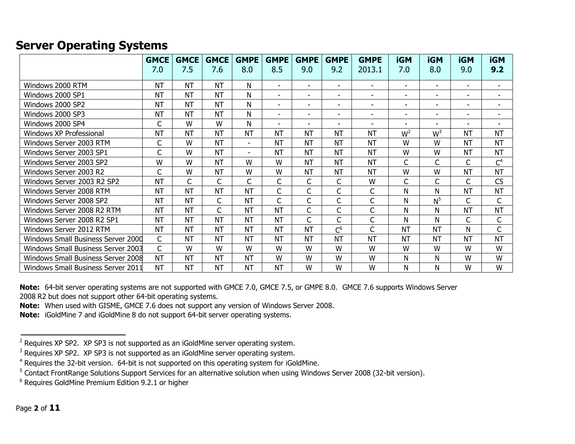### <span id="page-3-0"></span>**Server Operating Systems**

|                                    | <b>GMCE</b> | <b>GMCE</b> | <b>GMCE</b> | <b>GMPE</b>              | <b>GMPE</b>              | <b>GMPE</b>              | <b>GMPE</b>              | <b>GMPE</b>              | <b>iGM</b>               | <b>iGM</b>               | <b>iGM</b> | <b>iGM</b>               |
|------------------------------------|-------------|-------------|-------------|--------------------------|--------------------------|--------------------------|--------------------------|--------------------------|--------------------------|--------------------------|------------|--------------------------|
|                                    | 7.0         | 7.5         | 7.6         | 8.0                      | 8.5                      | 9.0                      | 9.2                      | 2013.1                   | 7.0                      | 8.0                      | 9.0        | 9.2                      |
| Windows 2000 RTM                   | <b>NT</b>   | <b>NT</b>   | <b>NT</b>   | N                        | $\overline{\phantom{0}}$ | $\overline{\phantom{a}}$ | $\overline{\phantom{a}}$ | $\blacksquare$           | $\overline{\phantom{a}}$ | $\overline{\phantom{a}}$ | ۰.         | $\overline{\phantom{a}}$ |
| Windows 2000 SP1                   | <b>NT</b>   | <b>NT</b>   | <b>NT</b>   | N                        | ۰                        | $\overline{\phantom{a}}$ | $\blacksquare$           | $\blacksquare$           | $\overline{\phantom{a}}$ | $\overline{\phantom{a}}$ | ۰          |                          |
| Windows 2000 SP2                   | <b>NT</b>   | <b>NT</b>   | <b>NT</b>   | Ν                        | -                        | ۰.                       | $\overline{\phantom{a}}$ | $\overline{\phantom{a}}$ | $\overline{\phantom{a}}$ | $\overline{\phantom{a}}$ | -          | $\overline{\phantom{a}}$ |
| Windows 2000 SP3                   | <b>NT</b>   | <b>NT</b>   | <b>NT</b>   | Ν                        | ۰                        | ۰.                       | $\overline{\phantom{a}}$ | $\overline{\phantom{a}}$ | $\overline{\phantom{a}}$ | $\overline{\phantom{a}}$ | ۰.         | $\overline{\phantom{a}}$ |
| Windows 2000 SP4                   | C           | W           | W           | N                        | ٠                        | $\overline{\phantom{a}}$ | ۰                        | $\overline{\phantom{0}}$ | $\overline{\phantom{0}}$ | $\overline{\phantom{0}}$ | ۰          | $\overline{\phantom{0}}$ |
| Windows XP Professional            | <b>NT</b>   | <b>NT</b>   | <b>NT</b>   | <b>NT</b>                | <b>NT</b>                | <b>NT</b>                | <b>NT</b>                | <b>NT</b>                | $W^2$                    | W <sup>3</sup>           | <b>NT</b>  | <b>NT</b>                |
| Windows Server 2003 RTM            | C           | W           | <b>NT</b>   | $\overline{\phantom{a}}$ | <b>NT</b>                | <b>NT</b>                | <b>NT</b>                | <b>NT</b>                | W                        | W                        | <b>NT</b>  | <b>NT</b>                |
| Windows Server 2003 SP1            | C           | W           | <b>NT</b>   | $\overline{\phantom{0}}$ | NT                       | <b>NT</b>                | NT                       | <b>NT</b>                | W                        | W                        | <b>NT</b>  | <b>NT</b>                |
| Windows Server 2003 SP2            | W           | W           | <b>NT</b>   | W                        | W                        | <b>NT</b>                | <b>NT</b>                | <b>NT</b>                | C                        | C                        | C          | C <sup>4</sup>           |
| Windows Server 2003 R2             | C           | W           | <b>NT</b>   | W                        | W                        | <b>NT</b>                | <b>NT</b>                | <b>NT</b>                | W                        | W                        | <b>NT</b>  | <b>NT</b>                |
| Windows Server 2003 R2 SP2         | <b>NT</b>   | C           | C           | C                        | C                        | C                        | C                        | W                        | C                        | C                        | C          | C <sub>5</sub>           |
| Windows Server 2008 RTM            | <b>NT</b>   | <b>NT</b>   | <b>NT</b>   | <b>NT</b>                | C                        | C                        | C                        | $\mathsf C$              | N                        | N                        | <b>NT</b>  | <b>NT</b>                |
| Windows Server 2008 SP2            | <b>NT</b>   | <b>NT</b>   | C           | <b>NT</b>                | C                        | C                        | C                        | $\mathsf{C}$             | N                        | N <sup>5</sup>           | C          | $\mathsf{C}$             |
| Windows Server 2008 R2 RTM         | <b>NT</b>   | <b>NT</b>   | C           | <b>NT</b>                | <b>NT</b>                | C                        | C                        | C                        | N                        | N                        | <b>NT</b>  | <b>NT</b>                |
| Windows Server 2008 R2 SP1         | <b>NT</b>   | <b>NT</b>   | <b>NT</b>   | <b>NT</b>                | <b>NT</b>                | C                        | C                        | C                        | N                        | N                        | C          | $\mathsf{C}$             |
| Windows Server 2012 RTM            | <b>NT</b>   | <b>NT</b>   | <b>NT</b>   | <b>NT</b>                | <b>NT</b>                | <b>NT</b>                | $C^6$                    | C                        | <b>NT</b>                | <b>NT</b>                | N          | C                        |
| Windows Small Business Server 2000 | C           | <b>NT</b>   | <b>NT</b>   | <b>NT</b>                | <b>NT</b>                | <b>NT</b>                | <b>NT</b>                | <b>NT</b>                | <b>NT</b>                | <b>NT</b>                | <b>NT</b>  | <b>NT</b>                |
| Windows Small Business Server 2003 | C           | W           | W           | W                        | W                        | W                        | W                        | W                        | W                        | W                        | W          | W                        |
| Windows Small Business Server 2008 | <b>NT</b>   | <b>NT</b>   | <b>NT</b>   | <b>NT</b>                | W                        | W                        | W                        | W                        | N                        | N                        | W          | W                        |
| Windows Small Business Server 2011 | <b>NT</b>   | <b>NT</b>   | <b>NT</b>   | <b>NT</b>                | <b>NT</b>                | W                        | W                        | W                        | N                        | N                        | W          | W                        |

**Note:** 64-bit server operating systems are not supported with GMCE 7.0, GMCE 7.5, or GMPE 8.0. GMCE 7.6 supports Windows Server 2008 R2 but does not support other 64-bit operating systems.

**Note:** When used with GISME, GMCE 7.6 does not support any version of Windows Server 2008.

**Note:** iGoldMine 7 and iGoldMine 8 do not support 64-bit server operating systems.

 $2$  Requires XP SP2. XP SP3 is not supported as an iGoldMine server operating system.

<sup>&</sup>lt;sup>3</sup> Requires XP SP2. XP SP3 is not supported as an iGoldMine server operating system.

<sup>&</sup>lt;sup>4</sup> Requires the 32-bit version. 64-bit is not supported on this operating system for iGoldMine.

<sup>&</sup>lt;sup>5</sup> Contact FrontRange Solutions Support Services for an alternative solution when using Windows Server 2008 (32-bit version).

<sup>6</sup> Requires GoldMine Premium Edition 9.2.1 or higher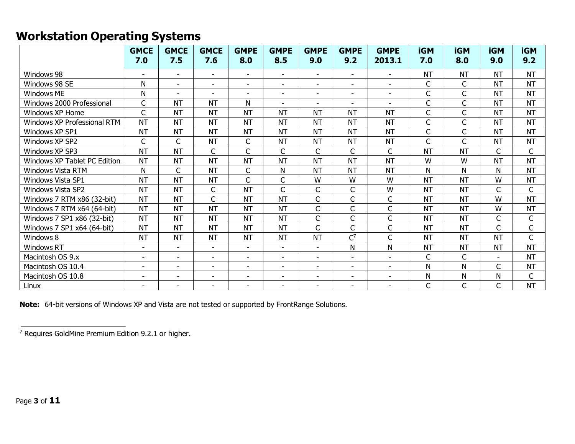## <span id="page-4-0"></span>**Workstation Operating Systems**

|                              | <b>GMCE</b><br>7.0       | <b>GMCE</b><br>7.5       | <b>GMCE</b><br>7.6       | <b>GMPE</b><br>8.0       | <b>GMPE</b><br>8.5       | <b>GMPE</b><br>9.0       | <b>GMPE</b><br>9.2       | <b>GMPE</b><br>2013.1    | <b>iGM</b><br>7.0 | <b>iGM</b><br>8.0 | <b>iGM</b><br>9.0 | <b>iGM</b><br>9.2 |
|------------------------------|--------------------------|--------------------------|--------------------------|--------------------------|--------------------------|--------------------------|--------------------------|--------------------------|-------------------|-------------------|-------------------|-------------------|
| Windows 98                   |                          | $\overline{\phantom{a}}$ | $\blacksquare$           | $\blacksquare$           | $\sim$                   | $\overline{\phantom{a}}$ | $\overline{\phantom{a}}$ | $\blacksquare$           | <b>NT</b>         | <b>NT</b>         | <b>NT</b>         | <b>NT</b>         |
| Windows 98 SE                | N                        | $\overline{\phantom{a}}$ | $\blacksquare$           | $\overline{\phantom{a}}$ | $\overline{a}$           | $\overline{\phantom{a}}$ | $\overline{\phantom{a}}$ | $\overline{\phantom{a}}$ | C                 | C                 | <b>NT</b>         | <b>NT</b>         |
| <b>Windows ME</b>            | N                        | $\overline{a}$           | $\overline{\phantom{a}}$ | $\blacksquare$           | $\overline{a}$           | $\blacksquare$           | ۰                        | $\blacksquare$           | C                 | $\mathsf{C}$      | <b>NT</b>         | <b>NT</b>         |
| Windows 2000 Professional    | $\mathsf{C}$             | <b>NT</b>                | <b>NT</b>                | N                        |                          | $\blacksquare$           | $\overline{\phantom{a}}$ |                          | C                 | C                 | <b>NT</b>         | <b>NT</b>         |
| Windows XP Home              | $\mathsf{C}$             | <b>NT</b>                | <b>NT</b>                | <b>NT</b>                | <b>NT</b>                | <b>NT</b>                | <b>NT</b>                | <b>NT</b>                | C                 | $\mathsf{C}$      | <b>NT</b>         | <b>NT</b>         |
| Windows XP Professional RTM  | <b>NT</b>                | <b>NT</b>                | <b>NT</b>                | <b>NT</b>                | <b>NT</b>                | <b>NT</b>                | <b>NT</b>                | <b>NT</b>                | C                 | C                 | <b>NT</b>         | <b>NT</b>         |
| Windows XP SP1               | <b>NT</b>                | <b>NT</b>                | <b>NT</b>                | <b>NT</b>                | <b>NT</b>                | <b>NT</b>                | <b>NT</b>                | <b>NT</b>                | C                 | C                 | <b>NT</b>         | <b>NT</b>         |
| Windows XP SP2               | $\mathsf{C}$             | C                        | <b>NT</b>                | $\mathsf C$              | <b>NT</b>                | <b>NT</b>                | <b>NT</b>                | <b>NT</b>                | C                 | C                 | <b>NT</b>         | <b>NT</b>         |
| Windows XP SP3               | <b>NT</b>                | <b>NT</b>                | $\mathsf{C}$             | C                        | C                        | $\mathsf{C}$             | $\mathsf{C}$             | $\mathsf{C}$             | <b>NT</b>         | <b>NT</b>         | C                 | $\mathsf C$       |
| Windows XP Tablet PC Edition | <b>NT</b>                | <b>NT</b>                | <b>NT</b>                | <b>NT</b>                | <b>NT</b>                | <b>NT</b>                | <b>NT</b>                | <b>NT</b>                | W                 | W                 | <b>NT</b>         | <b>NT</b>         |
| Windows Vista RTM            | N                        | $\mathsf{C}$             | <b>NT</b>                | $\mathsf C$              | N                        | <b>NT</b>                | <b>NT</b>                | <b>NT</b>                | N                 | N                 | N                 | <b>NT</b>         |
| <b>Windows Vista SP1</b>     | <b>NT</b>                | <b>NT</b>                | <b>NT</b>                | $\mathsf{C}$             | C                        | W                        | W                        | W                        | <b>NT</b>         | <b>NT</b>         | W                 | <b>NT</b>         |
| Windows Vista SP2            | <b>NT</b>                | <b>NT</b>                | $\mathsf{C}$             | <b>NT</b>                | C                        | $\mathsf{C}$             | $\mathsf{C}$             | W                        | <b>NT</b>         | <b>NT</b>         | $\mathsf{C}$      | $\mathsf{C}$      |
| Windows 7 RTM x86 (32-bit)   | <b>NT</b>                | <b>NT</b>                | $\mathsf{C}$             | <b>NT</b>                | <b>NT</b>                | C                        | C                        | $\mathsf{C}$             | <b>NT</b>         | <b>NT</b>         | W                 | <b>NT</b>         |
| Windows 7 RTM x64 (64-bit)   | <b>NT</b>                | <b>NT</b>                | <b>NT</b>                | <b>NT</b>                | <b>NT</b>                | $\mathsf{C}$             | $\mathsf{C}$             | $\mathsf{C}$             | <b>NT</b>         | <b>NT</b>         | W                 | <b>NT</b>         |
| Windows 7 SP1 x86 (32-bit)   | <b>NT</b>                | <b>NT</b>                | <b>NT</b>                | <b>NT</b>                | <b>NT</b>                | $\mathsf C$              | C                        | $\mathsf{C}$             | <b>NT</b>         | <b>NT</b>         | C                 | C                 |
| Windows 7 SP1 x64 (64-bit)   | <b>NT</b>                | <b>NT</b>                | <b>NT</b>                | <b>NT</b>                | <b>NT</b>                | $\mathsf{C}$             | $\mathsf{C}$             | $\mathsf C$              | <b>NT</b>         | <b>NT</b>         | $\mathsf{C}$      | $\mathsf C$       |
| Windows 8                    | <b>NT</b>                | <b>NT</b>                | <b>NT</b>                | <b>NT</b>                | <b>NT</b>                | <b>NT</b>                | $C^7$                    | $\mathsf{C}$             | <b>NT</b>         | <b>NT</b>         | <b>NT</b>         | $\mathsf C$       |
| <b>Windows RT</b>            | $\overline{\phantom{a}}$ | $\overline{\phantom{a}}$ | $\overline{\phantom{a}}$ | $\overline{\phantom{a}}$ | $\overline{\phantom{a}}$ | $\overline{\phantom{a}}$ | N                        | N                        | <b>NT</b>         | <b>NT</b>         | <b>NT</b>         | <b>NT</b>         |
| Macintosh OS 9.x             | $\overline{\phantom{0}}$ | $\blacksquare$           |                          | $\overline{\phantom{a}}$ |                          | $\blacksquare$           |                          |                          | C                 | C                 |                   | <b>NT</b>         |
| Macintosh OS 10.4            | $\overline{\phantom{a}}$ | $\overline{\phantom{a}}$ | $\overline{\phantom{a}}$ | $\overline{\phantom{a}}$ | $\overline{a}$           | $\blacksquare$           | ۰                        | $\overline{\phantom{a}}$ | Ν                 | N                 | $\mathsf C$       | <b>NT</b>         |
| Macintosh OS 10.8            | $\blacksquare$           | $\overline{\phantom{a}}$ | $\overline{\phantom{a}}$ | $\blacksquare$           | $\overline{\phantom{a}}$ | $\overline{\phantom{a}}$ | $\overline{\phantom{a}}$ | $\blacksquare$           | N                 | N                 | N                 | $\mathsf{C}$      |
| Linux                        | $\overline{\phantom{a}}$ | $\overline{\phantom{a}}$ | $\blacksquare$           | ۰                        | $\overline{\phantom{0}}$ | $\overline{\phantom{a}}$ | ۰                        |                          | C                 | C                 | $\mathsf{C}$      | <b>NT</b>         |

**Note:** 64-bit versions of Windows XP and Vista are not tested or supported by FrontRange Solutions.

<sup>7</sup> Requires GoldMine Premium Edition 9.2.1 or higher.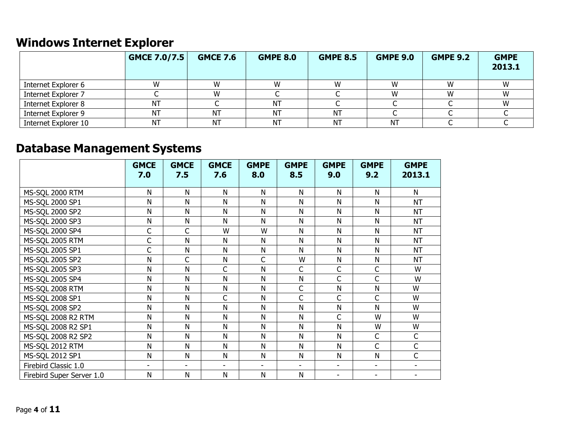# <span id="page-5-0"></span>**Windows Internet Explorer**

|                      | GMCE 7.0/7.5 | <b>GMCE 7.6</b> | <b>GMPE 8.0</b> | <b>GMPE 8.5</b> | <b>GMPE 9.0</b> | <b>GMPE 9.2</b> | <b>GMPE</b><br>2013.1 |
|----------------------|--------------|-----------------|-----------------|-----------------|-----------------|-----------------|-----------------------|
| Internet Explorer 6  |              | W               |                 |                 | W               |                 |                       |
| Internet Explorer 7  |              | W               |                 |                 | W               | W               | W                     |
| Internet Explorer 8  | <b>NT</b>    |                 | ΝT              |                 |                 |                 |                       |
| Internet Explorer 9  | NΤ           | <b>NT</b>       | ΝT              | ΝT              |                 |                 |                       |
| Internet Explorer 10 | NT           | <b>NT</b>       | ΝT              | <b>NT</b>       | ΝT              |                 |                       |

# <span id="page-5-1"></span>**Database Management Systems**

|                           | <b>GMCE</b>              | <b>GMCE</b>              | <b>GMCE</b>              | <b>GMPE</b>    | <b>GMPE</b>              | <b>GMPE</b>              | <b>GMPE</b>              | <b>GMPE</b>    |
|---------------------------|--------------------------|--------------------------|--------------------------|----------------|--------------------------|--------------------------|--------------------------|----------------|
|                           | 7.0                      | 7.5                      | 7.6                      | 8.0            | 8.5                      | 9.0                      | 9.2                      | 2013.1         |
| MS-SQL 2000 RTM           | Ν                        | N                        | N                        | N              | N                        | N                        | N                        | N              |
| MS-SQL 2000 SP1           | Ν                        | N                        | N                        | N              | N                        | N                        | N                        | <b>NT</b>      |
| MS-SQL 2000 SP2           | Ν                        | $\mathsf{N}$             | N                        | N              | N                        | N                        | N                        | <b>NT</b>      |
| MS-SQL 2000 SP3           | Ν                        | ${\sf N}$                | N                        | N              | ${\sf N}$                | N                        | ${\sf N}$                | <b>NT</b>      |
| MS-SQL 2000 SP4           | C                        | C                        | W                        | W              | N                        | N                        | N                        | <b>NT</b>      |
| MS-SQL 2005 RTM           | C                        | $\mathsf{N}$             | N                        | N              | ${\sf N}$                | N                        | N                        | <b>NT</b>      |
| MS-SQL 2005 SP1           | C                        | $\mathsf{N}$             | $\mathsf{N}$             | N              | ${\sf N}$                | N                        | N                        | <b>NT</b>      |
| MS-SQL 2005 SP2           | N                        | C                        | $\mathsf{N}$             | $\mathsf{C}$   | W                        | ${\sf N}$                | ${\sf N}$                | <b>NT</b>      |
| MS-SQL 2005 SP3           | N                        | $\mathsf{N}$             | $\mathsf C$              | N              | $\mathsf C$              | C                        | C                        | W              |
| MS-SQL 2005 SP4           | N                        | $\mathsf{N}$             | $\mathsf{N}$             | N              | ${\sf N}$                | $\mathsf{C}$             | C                        | W              |
| MS-SQL 2008 RTM           | Ν                        | $\mathsf{N}$             | $\mathsf{N}$             | N              | $\mathsf C$              | N                        | ${\sf N}$                | W              |
| MS-SQL 2008 SP1           | N                        | ${\sf N}$                | $\mathsf C$              | N              | C                        | $\mathsf{C}$             | C                        | W              |
| MS-SQL 2008 SP2           | N                        | N                        | $\mathsf{N}$             | N              | N                        | N                        | $\mathsf{N}$             | W              |
| MS-SQL 2008 R2 RTM        | Ν                        | N                        | N                        | N              | ${\sf N}$                | $\mathsf{C}$             | W                        | W              |
| MS-SQL 2008 R2 SP1        | N                        | N                        | N                        | N              | N                        | N                        | W                        | W              |
| MS-SQL 2008 R2 SP2        | N                        | $\mathsf{N}$             | $\mathsf{N}$             | N              | N                        | N                        | C                        | $\mathsf{C}$   |
| MS-SQL 2012 RTM           | Ν                        | N                        | $\mathsf{N}$             | N              | N                        | N                        | $\mathsf C$              | C              |
| MS-SQL 2012 SP1           | N                        | $\mathsf{N}$             | N                        | N              | ${\sf N}$                | N                        | ${\sf N}$                | $\mathsf{C}$   |
| Firebird Classic 1.0      | $\overline{\phantom{a}}$ | $\overline{\phantom{a}}$ | $\overline{\phantom{0}}$ | $\blacksquare$ | $\overline{\phantom{0}}$ | $\overline{\phantom{a}}$ | ÷,                       | $\blacksquare$ |
| Firebird Super Server 1.0 | Ν                        | ${\sf N}$                | $\mathsf{N}$             | N              | ${\sf N}$                |                          | $\overline{\phantom{a}}$ |                |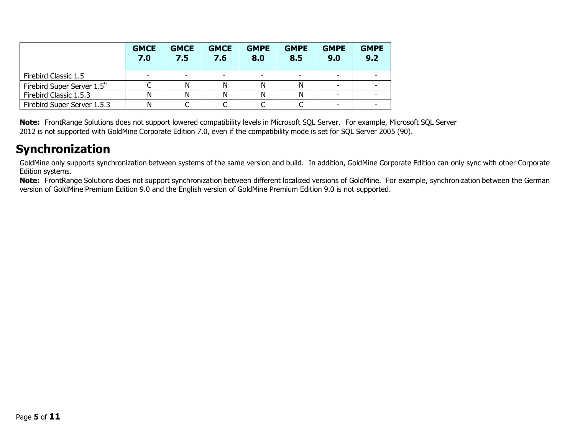|                                        | <b>GMCE</b><br>7.0 | <b>GMCE</b><br>7.5       | <b>GMCE</b><br>7.6       | <b>GMPE</b><br>8.0 | <b>GMPE</b><br>8.5       | <b>GMPE</b><br>9.0       | <b>GMPE</b><br>9.2 |
|----------------------------------------|--------------------|--------------------------|--------------------------|--------------------|--------------------------|--------------------------|--------------------|
| Firebird Classic 1.5                   |                    | $\overline{\phantom{0}}$ | $\overline{\phantom{a}}$ |                    | $\overline{\phantom{0}}$ | ۰                        |                    |
| Firebird Super Server 1.5 <sup>9</sup> |                    |                          | Ν                        |                    |                          | $\overline{\phantom{a}}$ |                    |
| Firebird Classic 1.5.3                 |                    |                          | Ν                        |                    |                          |                          |                    |
| Firebird Super Server 1.5.3            | Ν                  |                          |                          |                    |                          | ۰                        |                    |

**Note:** FrontRange Solutions does not support lowered compatibility levels in Microsoft SQL Server. For example, Microsoft SQL Server 2012 is not supported with GoldMine Corporate Edition 7.0, even if the compatibility mode is set for SQL Server 2005 (90).

## <span id="page-6-0"></span>**Synchronization**

GoldMine only supports synchronization between systems of the same version and build. In addition, GoldMine Corporate Edition can only sync with other Corporate Edition systems.

**Note:** FrontRange Solutions does not support synchronization between different localized versions of GoldMine. For example, synchronization between the German version of GoldMine Premium Edition 9.0 and the English version of GoldMine Premium Edition 9.0 is not supported.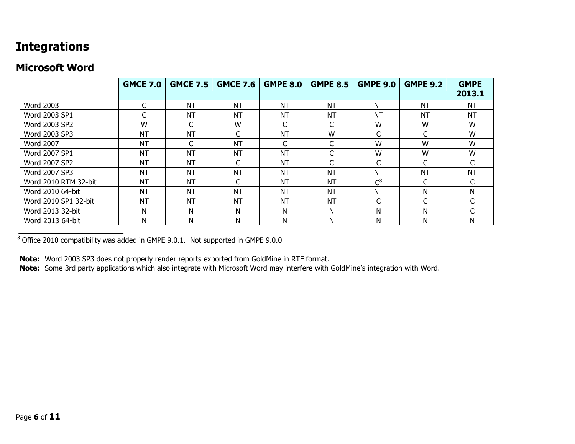## <span id="page-7-0"></span>**Integrations**

#### <span id="page-7-1"></span>**Microsoft Word**

|                      | <b>GMCE 7.0</b> | <b>GMCE 7.5</b> | <b>GMCE 7.6</b> | <b>GMPE 8.0</b> | <b>GMPE 8.5</b> | <b>GMPE 9.0</b> | <b>GMPE 9.2</b> | <b>GMPE</b><br>2013.1 |
|----------------------|-----------------|-----------------|-----------------|-----------------|-----------------|-----------------|-----------------|-----------------------|
| <b>Word 2003</b>     |                 | <b>NT</b>       | <b>NT</b>       | NT              | <b>NT</b>       | <b>NT</b>       | <b>NT</b>       | <b>NT</b>             |
| Word 2003 SP1        |                 | <b>NT</b>       | <b>NT</b>       | NT              | <b>NT</b>       | <b>NT</b>       | <b>NT</b>       | <b>NT</b>             |
| Word 2003 SP2        | W               |                 | W               |                 |                 | W               | W               | W                     |
| Word 2003 SP3        | <b>NT</b>       | <b>NT</b>       | C               | <b>NT</b>       | W               | $\sqrt{2}$      | C               | W                     |
| <b>Word 2007</b>     | <b>NT</b>       | $\sqrt{ }$      | <b>NT</b>       | C               | ⌒               | W               | W               | W                     |
| Word 2007 SP1        | <b>NT</b>       | <b>NT</b>       | <b>NT</b>       | <b>NT</b>       |                 | W               | W               | W                     |
| Word 2007 SP2        | <b>NT</b>       | <b>NT</b>       | C               | <b>NT</b>       | C               | $\sqrt{2}$      | C               |                       |
| Word 2007 SP3        | <b>NT</b>       | <b>NT</b>       | <b>NT</b>       | <b>NT</b>       | <b>NT</b>       | <b>NT</b>       | <b>NT</b>       | <b>NT</b>             |
| Word 2010 RTM 32-bit | <b>NT</b>       | <b>NT</b>       | C               | <b>NT</b>       | <b>NT</b>       | $C^8$           | C               |                       |
| Word 2010 64-bit     | <b>NT</b>       | <b>NT</b>       | <b>NT</b>       | NT              | <b>NT</b>       | <b>NT</b>       | Ν               | N                     |
| Word 2010 SP1 32-bit | <b>NT</b>       | <b>NT</b>       | <b>NT</b>       | NT              | <b>NT</b>       | C               | C               |                       |
| Word 2013 32-bit     | N               | N               | N               | N               | N               | N               | N               |                       |
| Word 2013 64-bit     | N               | N               | N               | N               | N               | N               | N               | N                     |

 $8 \overline{\smash{\mathrm{Office}}}$  2010 compatibility was added in GMPE 9.0.1. Not supported in GMPE 9.0.0

**Note:** Word 2003 SP3 does not properly render reports exported from GoldMine in RTF format.

**Note:** Some 3rd party applications which also integrate with Microsoft Word may interfere with GoldMine's integration with Word.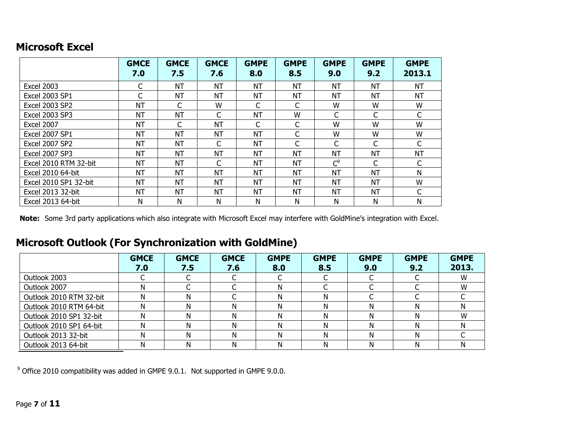#### <span id="page-8-0"></span>**Microsoft Excel**

|                       | <b>GMCE</b><br>7.0 | <b>GMCE</b><br>7.5 | <b>GMCE</b><br>7.6 | <b>GMPE</b><br>8.0 | <b>GMPE</b><br>8.5 | <b>GMPE</b><br>9.0 | <b>GMPE</b><br>9.2 | <b>GMPE</b><br>2013.1 |
|-----------------------|--------------------|--------------------|--------------------|--------------------|--------------------|--------------------|--------------------|-----------------------|
| <b>Excel 2003</b>     | C                  | <b>NT</b>          | NT                 | <b>NT</b>          | <b>NT</b>          | <b>NT</b>          | <b>NT</b>          | <b>NT</b>             |
| <b>Excel 2003 SP1</b> | C                  | <b>NT</b>          | <b>NT</b>          | <b>NT</b>          | NT                 | NT                 | <b>NT</b>          | <b>NT</b>             |
| <b>Excel 2003 SP2</b> | NΤ                 | C                  | W                  | C                  | C                  | W                  | W                  | W                     |
| <b>Excel 2003 SP3</b> | NT                 | <b>NT</b>          | C                  | <b>NT</b>          | W                  | C                  | C                  | C                     |
| <b>Excel 2007</b>     | <b>NT</b>          | C                  | <b>NT</b>          | $\mathsf{C}$       |                    | W                  | W                  | W                     |
| <b>Excel 2007 SP1</b> | <b>NT</b>          | <b>NT</b>          | <b>NT</b>          | <b>NT</b>          |                    | W                  | W                  | W                     |
| <b>Excel 2007 SP2</b> | NΤ                 | <b>NT</b>          | C                  | <b>NT</b>          | С                  | С                  | С                  | C                     |
| <b>Excel 2007 SP3</b> | <b>NT</b>          | <b>NT</b>          | <b>NT</b>          | <b>NT</b>          | <b>NT</b>          | NT                 | <b>NT</b>          | <b>NT</b>             |
| Excel 2010 RTM 32-bit | NΤ                 | <b>NT</b>          | C                  | <b>NT</b>          | NT                 | C <sup>9</sup>     | С                  | C                     |
| Excel 2010 64-bit     | NΤ                 | <b>NT</b>          | <b>NT</b>          | <b>NT</b>          | <b>NT</b>          | <b>NT</b>          | <b>NT</b>          | N                     |
| Excel 2010 SP1 32-bit | NΤ                 | <b>NT</b>          | <b>NT</b>          | <b>NT</b>          | <b>NT</b>          | <b>NT</b>          | <b>NT</b>          | W                     |
| Excel 2013 32-bit     | <b>NT</b>          | <b>NT</b>          | <b>NT</b>          | <b>NT</b>          | <b>NT</b>          | <b>NT</b>          | <b>NT</b>          | C                     |
| Excel 2013 64-bit     | Ν                  | N                  | N                  | N                  | N                  | N                  | N                  | N                     |

**Note:** Some 3rd party applications which also integrate with Microsoft Excel may interfere with GoldMine's integration with Excel.

## <span id="page-8-1"></span>**Microsoft Outlook (For Synchronization with GoldMine)**

|                         | <b>GMCE</b><br>7.0 | <b>GMCE</b><br>7.5 | <b>GMCE</b><br>7.6 | <b>GMPE</b><br>8.0 | <b>GMPE</b><br>8.5 | <b>GMPE</b><br>9.0 | <b>GMPE</b><br>9.2 | <b>GMPE</b><br>2013. |
|-------------------------|--------------------|--------------------|--------------------|--------------------|--------------------|--------------------|--------------------|----------------------|
| Outlook 2003            |                    |                    |                    |                    |                    |                    |                    | W                    |
| Outlook 2007            |                    |                    |                    | N                  |                    |                    |                    | W                    |
| Outlook 2010 RTM 32-bit |                    | N                  |                    | N                  | N                  |                    |                    |                      |
| Outlook 2010 RTM 64-bit |                    | N                  |                    | N                  | N                  |                    | Ν                  | N                    |
| Outlook 2010 SP1 32-bit |                    | N                  |                    | N                  | N                  | N                  | Ν                  | W                    |
| Outlook 2010 SP1 64-bit |                    | N                  |                    | Ν                  | N                  |                    | Ν                  |                      |
| Outlook 2013 32-bit     |                    | N                  | N                  | Ν                  | Ν                  | N                  | Ν                  |                      |
| Outlook 2013 64-bit     |                    | N                  |                    | N                  | N                  |                    | Ν                  |                      |

<sup>9</sup> Office 2010 compatibility was added in GMPE 9.0.1. Not supported in GMPE 9.0.0.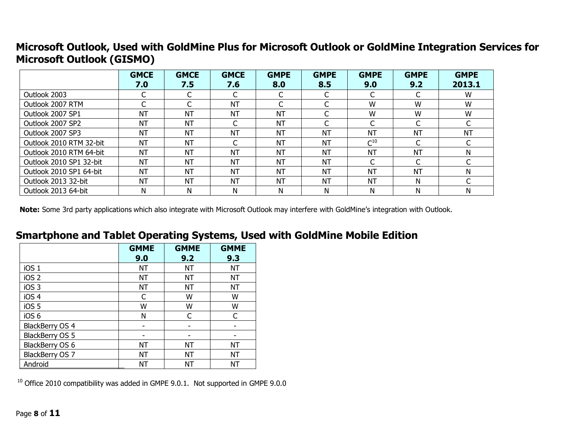### <span id="page-9-0"></span>**Microsoft Outlook, Used with GoldMine Plus for Microsoft Outlook or GoldMine Integration Services for Microsoft Outlook (GISMO)**

|                         | <b>GMCE</b> | <b>GMCE</b> | <b>GMCE</b>              | <b>GMPE</b> | <b>GMPE</b> | <b>GMPE</b> | <b>GMPE</b> | <b>GMPE</b> |
|-------------------------|-------------|-------------|--------------------------|-------------|-------------|-------------|-------------|-------------|
|                         | 7.0         | 7.5         | 7.6                      | 8.0         | 8.5         | 9.0         | 9.2         | 2013.1      |
| Outlook 2003            |             |             |                          |             | C           |             |             | W           |
| Outlook 2007 RTM        |             |             | <b>NT</b>                |             |             | W           | W           | W           |
| Outlook 2007 SP1        | <b>NT</b>   | <b>NT</b>   | <b>NT</b>                | <b>NT</b>   | C           | W           | W           | W           |
| Outlook 2007 SP2        | <b>NT</b>   | <b>NT</b>   |                          | <b>NT</b>   | C           |             |             |             |
| Outlook 2007 SP3        | <b>NT</b>   | <b>NT</b>   | <b>NT</b>                | <b>NT</b>   | <b>NT</b>   | <b>NT</b>   | <b>NT</b>   | <b>NT</b>   |
| Outlook 2010 RTM 32-bit | <b>NT</b>   | <b>NT</b>   | $\overline{\phantom{0}}$ | <b>NT</b>   | <b>NT</b>   | $C^{10}$    |             |             |
| Outlook 2010 RTM 64-bit | <b>NT</b>   | <b>NT</b>   | <b>NT</b>                | <b>NT</b>   | <b>NT</b>   | <b>NT</b>   | <b>NT</b>   |             |
| Outlook 2010 SP1 32-bit | <b>NT</b>   | <b>NT</b>   | NT                       | <b>NT</b>   | <b>NT</b>   | ╭           |             |             |
| Outlook 2010 SP1 64-bit | <b>NT</b>   | <b>NT</b>   | NT                       | <b>NT</b>   | <b>NT</b>   | <b>NT</b>   | <b>NT</b>   | N           |
| Outlook 2013 32-bit     | <b>NT</b>   | <b>NT</b>   | <b>NT</b>                | <b>NT</b>   | <b>NT</b>   | <b>NT</b>   | N           |             |
| Outlook 2013 64-bit     | N           | N           | Ν                        | N           | N           | N           | N           | N           |

**Note:** Some 3rd party applications which also integrate with Microsoft Outlook may interfere with GoldMine's integration with Outlook.

#### <span id="page-9-1"></span>**Smartphone and Tablet Operating Systems, Used with GoldMine Mobile Edition**

|                        | <b>GMME</b> | <b>GMME</b> | <b>GMME</b> |
|------------------------|-------------|-------------|-------------|
|                        | 9.0         | 9.2         | 9.3         |
| iOS <sub>1</sub>       | <b>NT</b>   | <b>NT</b>   | <b>NT</b>   |
| iOS <sub>2</sub>       | <b>NT</b>   | <b>NT</b>   | <b>NT</b>   |
| iOS <sub>3</sub>       | <b>NT</b>   | NT          | NT          |
| iOS 4                  | C           | W           | W           |
| iOS <sub>5</sub>       | W           | W           | W           |
| iOS <sub>6</sub>       | N           | C           |             |
| <b>BlackBerry OS 4</b> |             |             |             |
| BlackBerry OS 5        |             |             |             |
| BlackBerry OS 6        | <b>NT</b>   | NT          | NT          |
| <b>BlackBerry OS 7</b> | NΤ          | NT          | NT          |
| Android                | ΝT          | <b>NT</b>   | ΝT          |

 $10$  Office 2010 compatibility was added in GMPE 9.0.1. Not supported in GMPE 9.0.0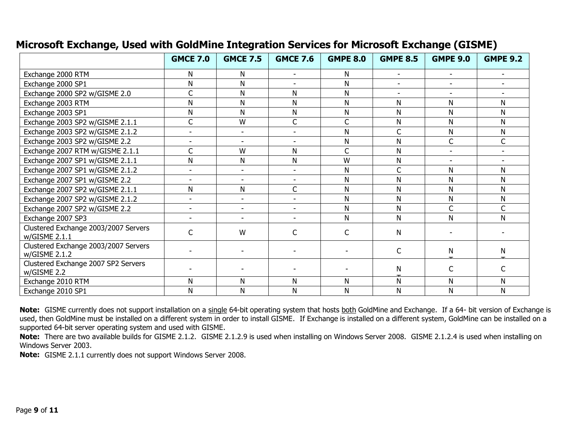|                                                       | <b>GMCE 7.0</b>          | <b>GMCE 7.5</b>          | <b>GMCE 7.6</b>          | <b>GMPE 8.0</b> | <b>GMPE 8.5</b>          | <b>GMPE 9.0</b>          | <b>GMPE 9.2</b> |
|-------------------------------------------------------|--------------------------|--------------------------|--------------------------|-----------------|--------------------------|--------------------------|-----------------|
| Exchange 2000 RTM                                     | Ν                        | N                        | ٠                        | N               | $\overline{\phantom{0}}$ | $\overline{\phantom{a}}$ | $\sim$          |
| Exchange 2000 SP1                                     | N                        | N                        |                          | Ν               | $\sim$                   | $\blacksquare$           |                 |
| Exchange 2000 SP2 w/GISME 2.0                         | C                        | N                        | N                        | N               | ٠                        |                          |                 |
| Exchange 2003 RTM                                     | N                        | N                        | N                        | N               | N                        | N                        | N               |
| Exchange 2003 SP1                                     | N                        | N                        | N                        | N               | N                        | N                        | N               |
| Exchange 2003 SP2 w/GISME 2.1.1                       | C                        | W                        | $\mathsf C$              | C               | N                        | N                        | N               |
| Exchange 2003 SP2 w/GISME 2.1.2                       | ۰                        | $\overline{\phantom{a}}$ | $\overline{\phantom{a}}$ | N               | C                        | N                        | N               |
| Exchange 2003 SP2 w/GISME 2.2                         |                          | ÷,                       | $\overline{\phantom{a}}$ | Ν               | N                        |                          | C               |
| Exchange 2007 RTM w/GISME 2.1.1                       | Ċ                        | W                        | N                        | C               | N                        |                          |                 |
| Exchange 2007 SP1 w/GISME 2.1.1                       | N                        | Ν                        | N                        | W               | N                        | $\blacksquare$           |                 |
| Exchange 2007 SP1 w/GISME 2.1.2                       | $\overline{\phantom{a}}$ | $\blacksquare$           | $\blacksquare$           | N               | C                        | N                        | N               |
| Exchange 2007 SP1 w/GISME 2.2                         | $\overline{\phantom{a}}$ | $\overline{a}$           | ٠                        | N               | N                        | N                        | N               |
| Exchange 2007 SP2 w/GISME 2.1.1                       | Ν                        | Ν                        | $\mathsf C$              | Ν               | N                        | N                        | N               |
| Exchange 2007 SP2 w/GISME 2.1.2                       | $\overline{\phantom{a}}$ |                          | $\blacksquare$           | Ν               | N                        | N                        | N               |
| Exchange 2007 SP2 w/GISME 2.2                         | $\blacksquare$           |                          |                          | N               | N                        | Ċ                        | C               |
| Exchange 2007 SP3                                     |                          |                          |                          | N               | N                        | N                        | N               |
| Clustered Exchange 2003/2007 Servers<br>w/GISME 2.1.1 | C                        | W                        |                          | C               | N                        |                          |                 |
| Clustered Exchange 2003/2007 Servers<br>w/GISME 2.1.2 |                          |                          |                          |                 | C                        | N                        | N               |
| Clustered Exchange 2007 SP2 Servers<br>w/GISME 2.2    |                          |                          |                          |                 | N                        |                          | C               |
| Exchange 2010 RTM                                     | N                        | Ν                        | N                        | N               | N                        | N                        | N               |
| Exchange 2010 SP1                                     | N                        | N                        | N                        | N               | N                        | N                        | N               |

#### <span id="page-10-0"></span>**Microsoft Exchange, Used with GoldMine Integration Services for Microsoft Exchange (GISME)**

Note: GISME currently does not support installation on a single 64-bit operating system that hosts both GoldMine and Exchange. If a 64- bit version of Exchange is used, then GoldMine must be installed on a different system in order to install GISME. If Exchange is installed on a different system, GoldMine can be installed on a supported 64-bit server operating system and used with GISME.

**Note:** There are two available builds for GISME 2.1.2. GISME 2.1.2.9 is used when installing on Windows Server 2008. GISME 2.1.2.4 is used when installing on Windows Server 2003.

**Note:** GISME 2.1.1 currently does not support Windows Server 2008.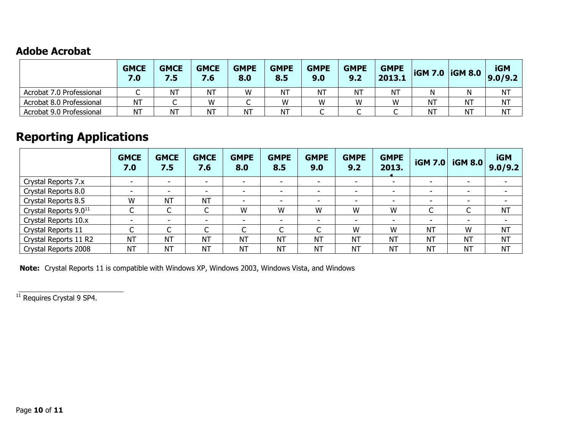#### <span id="page-11-0"></span>**Adobe Acrobat**

|                          | <b>GMCE</b><br>7.0 | <b>GMCE</b><br>7.5 | <b>GMCE</b><br>7.6 | <b>GMPE</b><br>8.0 | <b>GMPE</b><br>8.5 | <b>GMPE</b><br>9.0 | <b>GMPE</b><br>9.2 | <b>GMPE</b><br>2013.1 |           | <b>IGM 7.0 IGM 8.0</b> | <b>iGM</b><br>9.0/9.2 |
|--------------------------|--------------------|--------------------|--------------------|--------------------|--------------------|--------------------|--------------------|-----------------------|-----------|------------------------|-----------------------|
| Acrobat 7.0 Professional | ◡                  | NT                 | <b>NT</b>          | W                  | <b>NT</b>          | ΝT                 | <b>NT</b>          | <b>NT</b>             | N         |                        | <b>NT</b>             |
| Acrobat 8.0 Professional | <b>NT</b>          | ∼                  | W                  |                    | W                  | W                  | W                  | W                     | <b>NT</b> | <b>NT</b>              | <b>NT</b>             |
| Acrobat 9.0 Professional | <b>NT</b>          | NT                 | <b>NT</b>          | <b>NT</b>          | <b>NT</b>          | ֊                  | ֊                  | ⌒<br>֊                | <b>NT</b> | <b>NT</b>              | NT                    |

# <span id="page-11-1"></span>**Reporting Applications**

|                                   | <b>GMCE</b><br>7.0            | <b>GMCE</b><br>7.5       | <b>GMCE</b><br>7.6       | <b>GMPE</b><br>8.0       | <b>GMPE</b><br>8.5       | <b>GMPE</b><br>9.0       | <b>GMPE</b><br>9.2       | <b>GMPE</b><br>2013.     | <b>iGM 7.0</b>           | <b>iGM 8.0</b>           | <b>iGM</b><br>9.0/9.2    |
|-----------------------------------|-------------------------------|--------------------------|--------------------------|--------------------------|--------------------------|--------------------------|--------------------------|--------------------------|--------------------------|--------------------------|--------------------------|
| Crystal Reports 7.x               | $\overline{\phantom{0}}$      | $\sim$                   | $\overline{\phantom{0}}$ | $\sim$                   | $\overline{\phantom{0}}$ | $\overline{\phantom{a}}$ | $\overline{\phantom{a}}$ | $\overline{\phantom{0}}$ | $\overline{\phantom{0}}$ | -                        | $\overline{\phantom{a}}$ |
| Crystal Reports 8.0               | $\overline{\phantom{0}}$      | $\overline{\phantom{0}}$ |                          | $\overline{\phantom{0}}$ | $\overline{\phantom{0}}$ | $\overline{\phantom{a}}$ | $\overline{\phantom{0}}$ | $\overline{\phantom{0}}$ | -                        | $\overline{\phantom{0}}$ |                          |
| Crystal Reports 8.5               | W                             | <b>NT</b>                | <b>NT</b>                | $\overline{\phantom{0}}$ | -                        | $\overline{\phantom{0}}$ | $\overline{\phantom{0}}$ |                          |                          | -                        |                          |
| Crystal Reports 9.0 <sup>11</sup> | $\sqrt{ }$<br>◡               | $\sqrt{ }$<br>◡          | r<br>◡                   | W                        | W                        | W                        | W                        | W                        | $\sqrt{ }$<br>◡          | $\overline{ }$           | <b>NT</b>                |
| Crystal Reports 10.x              | $\overline{\phantom{0}}$      | $\overline{\phantom{a}}$ | ۰.                       | $\overline{\phantom{a}}$ | ۰                        | $\overline{\phantom{a}}$ | $\overline{\phantom{a}}$ | $\overline{\phantom{0}}$ | $\overline{\phantom{0}}$ | -                        |                          |
| Crystal Reports 11                | $\overline{\phantom{0}}$<br>◡ | $\sqrt{2}$               |                          | ⌒                        |                          | ◡                        | W                        | W                        | <b>NT</b>                | W                        | <b>NT</b>                |
| Crystal Reports 11 R2             | <b>NT</b>                     | <b>NT</b>                | <b>NT</b>                | <b>NT</b>                | <b>NT</b>                | <b>NT</b>                | <b>NT</b>                | <b>NT</b>                | <b>NT</b>                | <b>NT</b>                | <b>NT</b>                |
| Crystal Reports 2008              | <b>NT</b>                     | <b>NT</b>                | <b>NT</b>                | <b>NT</b>                | NT                       | <b>NT</b>                | <b>NT</b>                | <b>NT</b>                | <b>NT</b>                | <b>NT</b>                | <b>NT</b>                |

**Note:** Crystal Reports 11 is compatible with Windows XP, Windows 2003, Windows Vista, and Windows

<sup>11</sup> Requires Crystal 9 SP4.